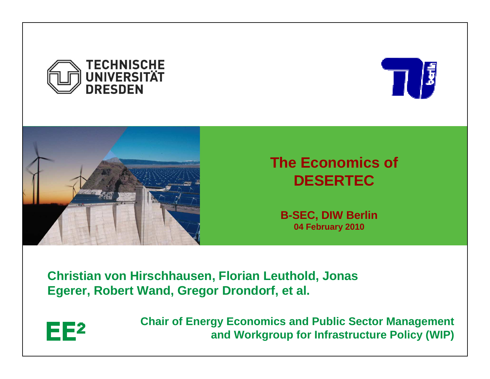





### **The Economics of DESERTEC**

**B-SEC, DIW Berlin04 February 2010**

**Christian von Hirschhausen, Florian Leuthold, Jonas Egerer, Robert Wand, Gregor Drondorf, et al.** 



**Chair of Energy Economics and Public Sector Managementand Workgroup for Infrastructure Policy (WIP)**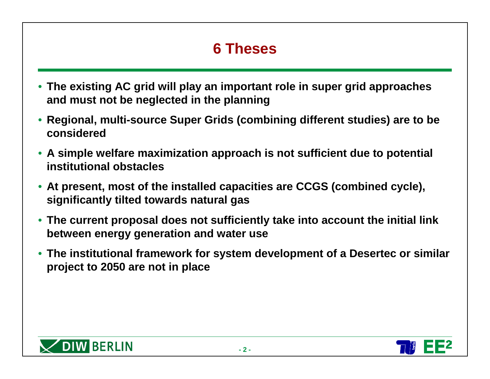# **6 Theses**

- **The existing AC grid will play an important role in super grid approaches and must not be neglected in the planning**
- **Regional, multi-source Super Grids (combining different studies) are to be considered**
- **A simple welfare maximization approach is not sufficient due to potential institutional obstacles**
- **At present, most of the installed capacities are CCGS (combined cycle), significantly tilted towards natural gas**
- **The current proposal does not sufficiently take into account the initial link between energy generation and water use**
- **The institutional framework for system development of a Desertec or similar project to 2050 are not in place**



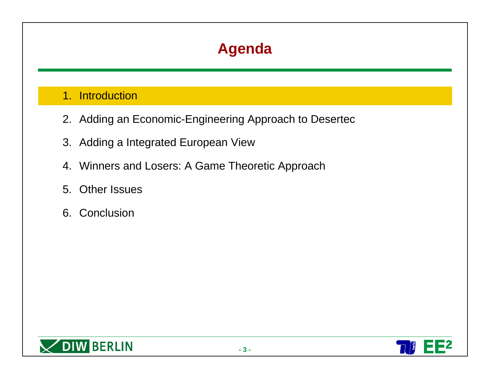#### 1. Introduction

- 2. Adding an Economic-Engineering Approach to Desertec
- 3. Adding a Integrated European View
- 4. Winners and Losers: A Game Theoretic Approach
- 5. Other Issues
- 6. Conclusion

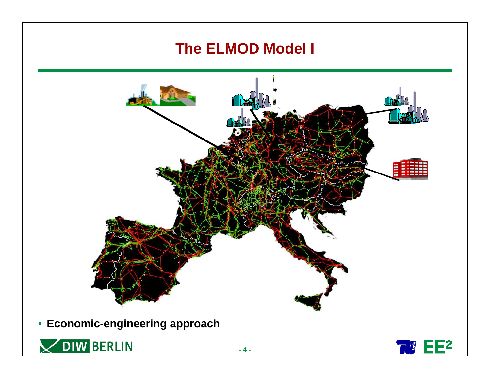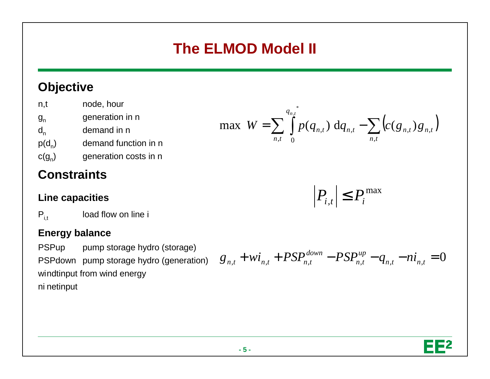# **The ELMOD Model II**

### **Objective**

| n,t      | node, hour            |
|----------|-----------------------|
| $g_{n}$  | generation in n       |
| $d_{n}$  | demand in n           |
| $p(d_n)$ | demand function in n  |
| $c(g_n)$ | generation costs in n |

### **Constraints**

#### **Line capacities**

 $P_{i,t}$ load flow on line i

#### **Energy balance**

PSPup pump storage hydro (storage) PSPdown pump storage hydro (generation)windtinput from wind energyni netinput

$$
\max W = \sum_{n,t} \int_{0}^{q_{n,t}} p(q_{n,t}) dq_{n,t} - \sum_{n,t} \left( c(g_{n,t}) g_{n,t} \right)
$$

$$
P_{i,t} \leq P_i^{\max}
$$

$$
g_{n,t} + wi_{n,t} + PSP_{n,t}^{down} - PSP_{n,t}^{up} - q_{n,t} - ni_{n,t} = 0
$$

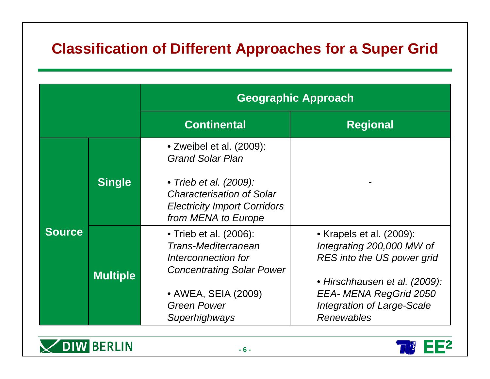### **Classification of Different Approaches for a Super Grid**

|               |                 | <b>Geographic Approach</b>                                                                                                                                                      |                                                                                                                                                                                                          |  |  |
|---------------|-----------------|---------------------------------------------------------------------------------------------------------------------------------------------------------------------------------|----------------------------------------------------------------------------------------------------------------------------------------------------------------------------------------------------------|--|--|
|               |                 | <b>Continental</b>                                                                                                                                                              | <b>Regional</b>                                                                                                                                                                                          |  |  |
| <b>Source</b> | <b>Single</b>   | • Zweibel et al. (2009):<br><b>Grand Solar Plan</b><br>• Trieb et al. (2009):<br><b>Characterisation of Solar</b><br><b>Electricity Import Corridors</b><br>from MENA to Europe |                                                                                                                                                                                                          |  |  |
|               | <b>Multiple</b> | • Trieb et al. (2006):<br>Trans-Mediterranean<br>Interconnection for<br><b>Concentrating Solar Power</b><br>• AWEA, SEIA (2009)<br><b>Green Power</b><br>Superhighways          | • Krapels et al. (2009):<br>Integrating 200,000 MW of<br>RES into the US power grid<br>• Hirschhausen et al. (2009):<br>EEA- MENA RegGrid 2050<br><b>Integration of Large-Scale</b><br><b>Renewables</b> |  |  |



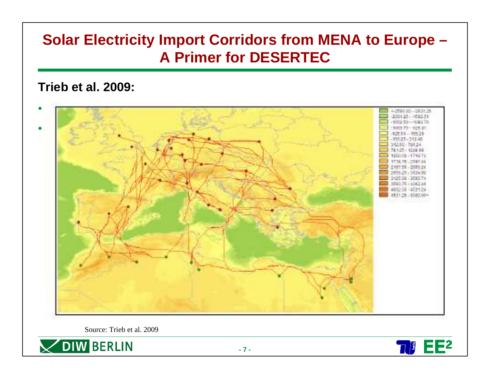### **Solar Electricity Import Corridors from MENA to Europe –A Primer for DESERTEC**

#### **Trieb et al. 2009:**



Source: Trieb et al. 2009



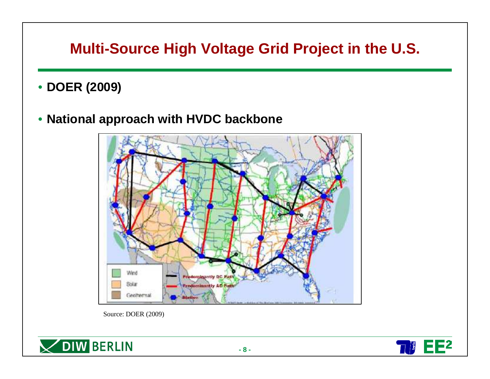### **Multi-Source High Voltage Grid Project in the U.S.**

• **DOER (2009)**

### • **National approach with HVDC backbone**



Source: DOER (2009)





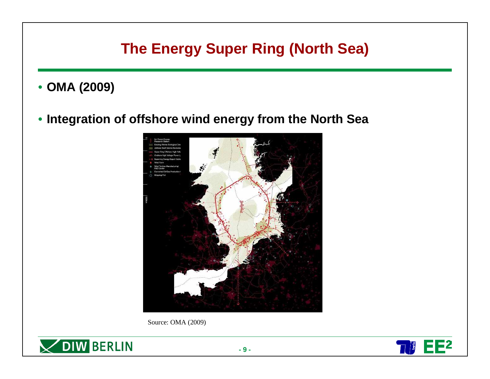### **The Energy Super Ring (North Sea)**

• **OMA (2009)**

### • **Integration of offshore wind energy from the North Sea**



Source: OMA (2009)



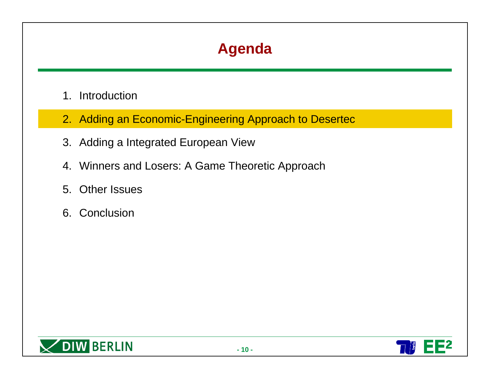- 1. Introduction
- 2. Adding an Economic-Engineering Approach to Desertec
- 3. Adding a Integrated European View
- 4. Winners and Losers: A Game Theoretic Approach
- 5. Other Issues
- 6. Conclusion



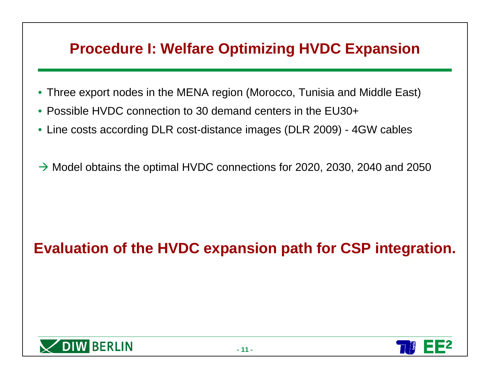### **Procedure I: Welfare Optimizing HVDC Expansion**

- $\bullet$ Three export nodes in the MENA region (Morocco, Tunisia and Middle East)
- Possible HVDC connection to 30 demand centers in the EU30+
- Line costs according DLR cost-distance images (DLR 2009) 4GW cables
- $\rightarrow$  Model obtains the optimal HVDC connections for 2020, 2030, 2040 and 2050

## **Evaluation of the HVDC expansion path for CSP integration.**



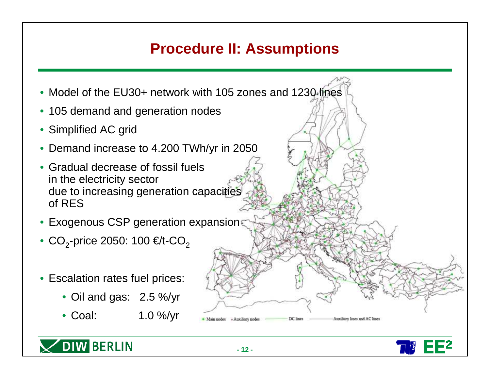### **Procedure II: Assumptions**

- Model of the EU30+ network with 105 zones and 1230 lines
- 105 demand and generation nodes
- Simplified AC grid
- Demand increase to 4.200 TWh/yr in 2050
- Gradual decrease of fossil fuels in the electricity sector due to increasing generation capacities of RES
- Exogenous CSP generation expansion
- $\bullet$  CO<sub>2</sub>-price 2050: 100 €/t-CO<sub>2</sub>
- Escalation rates fuel prices:

OIW BERLIN

- Oil and gas: 2.5 %/yr
- Coal: 1.0 %/yr



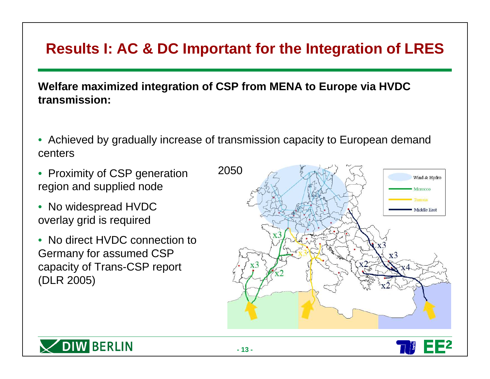### **Results I: AC & DC Important for the Integration of LRES**

**Welfare maximized integration of CSP from MENA to Europe via HVDC transmission:**

- Achieved by gradually increase of transmission capacity to European demand centers
- Proximity of CSP generation region and supplied node
- No widespread HVDCoverlay grid is required
- No direct HVDC connection to Germany for assumed CSP capacity of Trans-CSP report (DLR 2005)





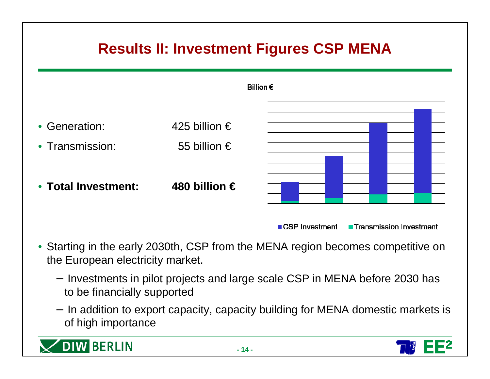

- Starting in the early 2030th, CSP from the MENA region becomes competitive on the European electricity market.
	- Investments in pilot projects and large scale CSP in MENA before 2030 has to be financially supported
	- − In addition to export capacity, capacity building for MENA domestic markets is of high importance



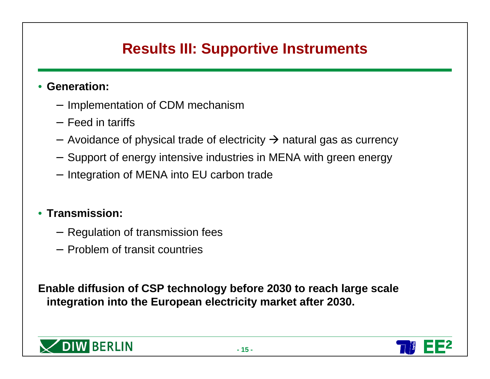### **Results III: Supportive Instruments**

#### • **Generation:**

- Implementation of CDM mechanism
- − Feed in tariffs
- − Avoidance of physical trade of electricity → natural gas as currency
- $-$  Support of energy intensive industries in MENA with green energy
- − Integration of MENA into EU carbon trade

#### • **Transmission:**

- − Regulation of transmission fees
- − Problem of transit countries

**Enable diffusion of CSP technology before 2030 to reach large scale integration into the European electricity market after 2030.** 



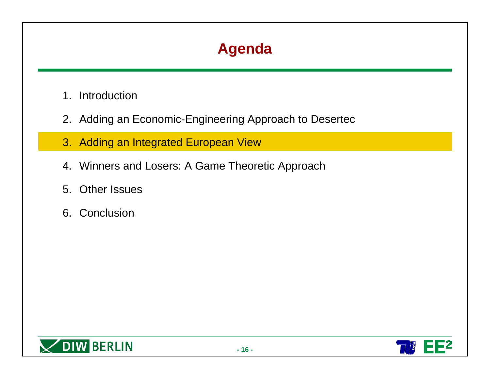- 1. Introduction
- 2. Adding an Economic-Engineering Approach to Desertec
- 3. Adding an Integrated European View
- 4. Winners and Losers: A Game Theoretic Approach
- 5. Other Issues
- 6. Conclusion



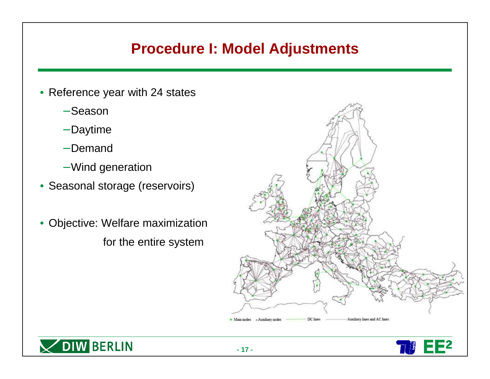### **Procedure I: Model Adjustments**

- Reference year with 24 states
	- Season
	- − Daytime
	- − Demand
	- − Wind generation
- Seasonal storage (reservoirs)
- Objective: Welfare maximization for the entire system





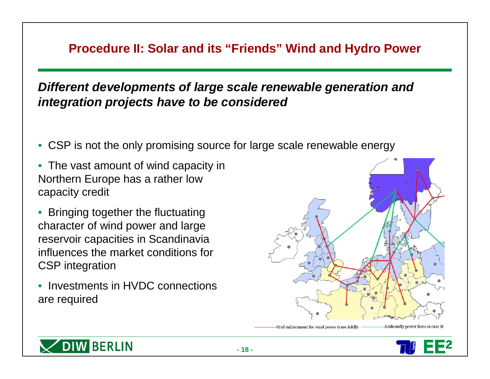### **Procedure II: Solar and its "Friends" Wind and Hydro Power**

**Different developments of large scale renewable generation and integration projects have to be considered** 

- CSP is not the only promising source for large scale renewable energy
- The vast amount of wind capacity inNorthern Europe has a rather low capacity credit
- • Bringing together the fluctuating character of wind power and large reservoir capacities in Scandinavia influences the market conditions forCSP integration
- Investments in HVDC connectionsare required





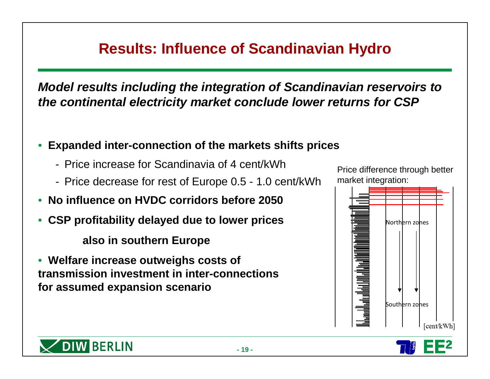### **Results: Influence of Scandinavian Hydro**

**Model results including the integration of Scandinavian reservoirs to the continental electricity market conclude lower returns for CSP**

- **Expanded inter-connection of the markets shifts prices**
	- Price increase for Scandinavia of 4 cent/kWh
	- Price decrease for rest of Europe 0.5 1.0 cent/kWh
- •**No influence on HVDC corridors before 2050**
- •**CSP profitability delayed due to lower prices**

**also in southern Europe** 

• **Welfare increase outweighs costs of transmission investment in inter-connectionsfor assumed expansion scenario**





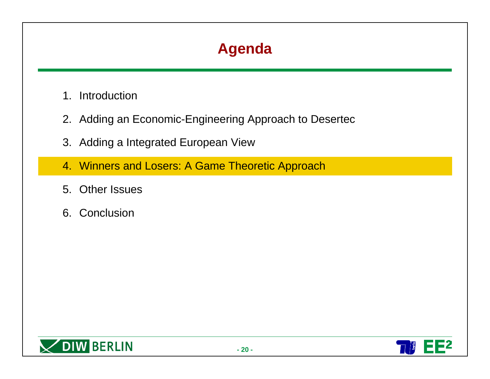- 1. Introduction
- 2. Adding an Economic-Engineering Approach to Desertec
- 3. Adding a Integrated European View
- 4. Winners and Losers: A Game Theoretic Approach
- 5. Other Issues
- 6. Conclusion



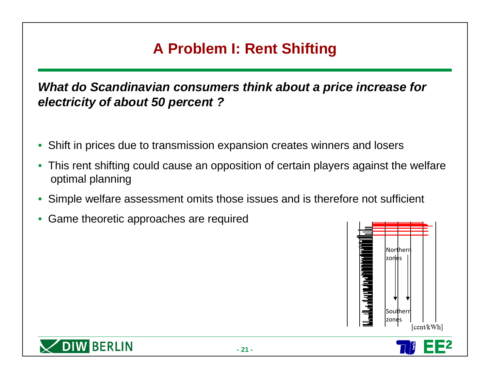## **A Problem I: Rent Shifting**

**What do Scandinavian consumers think about a price increase for electricity of about 50 percent ?**

- $\bullet$ Shift in prices due to transmission expansion creates winners and losers
- This rent shifting could cause an opposition of certain players against the welfare optimal planning
- •Simple welfare assessment omits those issues and is therefore not sufficient
- •Game theoretic approaches are required



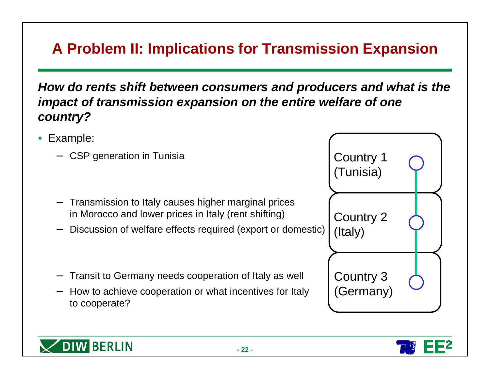## **A Problem II: Implications for Transmission Expansion**

**How do rents shift between consumers and producers and what is the impact of transmission expansion on the entire welfare of one country?**

- Example:
	- −CSP generation in Tunisia

**DIW BERLIN** 

- − Transmission to Italy causes higher marginal prices in Morocco and lower prices in Italy (rent shifting)
- −Discussion of welfare effects required (export or domestic)
- −Transit to Germany needs cooperation of Italy as well
- − How to achieve cooperation or what incentives for Italy to cooperate?



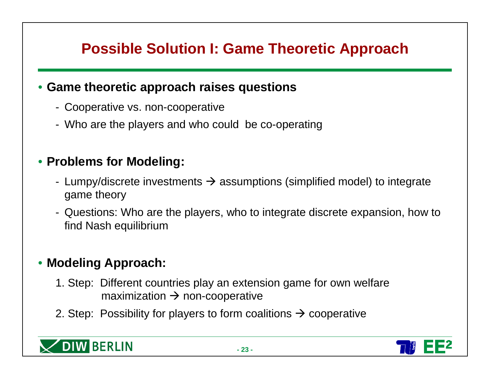### **Possible Solution I: Game Theoretic Approach**

### • **Game theoretic approach raises questions**

- Cooperative vs. non-cooperative
- Who are the players and who could be co-operating

### • **Problems for Modeling:**

- Lumpy/discrete investments  $\rightarrow$  assumptions (simplified model) to integrate<br>came theory game theory
- Questions: Who are the players, who to integrate discrete expansion, how to find Nash equilibrium

### • **Modeling Approach:**

- 1. Step: Different countries play an extension game for own welfare maximization → non-cooperative<br>□
- 2. Step: Possibility for players to form coalitions  $\rightarrow$  cooperative



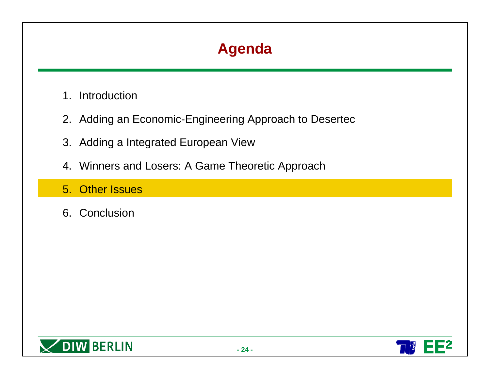- 1. Introduction
- 2. Adding an Economic-Engineering Approach to Desertec
- 3. Adding a Integrated European View
- 4. Winners and Losers: A Game Theoretic Approach
- 5. Other Issues
- 6. Conclusion



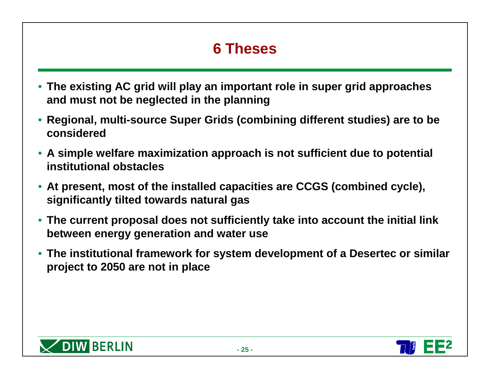# **6 Theses**

- **The existing AC grid will play an important role in super grid approaches and must not be neglected in the planning**
- **Regional, multi-source Super Grids (combining different studies) are to be considered**
- **A simple welfare maximization approach is not sufficient due to potential institutional obstacles**
- **At present, most of the installed capacities are CCGS (combined cycle), significantly tilted towards natural gas**
- **The current proposal does not sufficiently take into account the initial link between energy generation and water use**
- **The institutional framework for system development of a Desertec or similar project to 2050 are not in place**



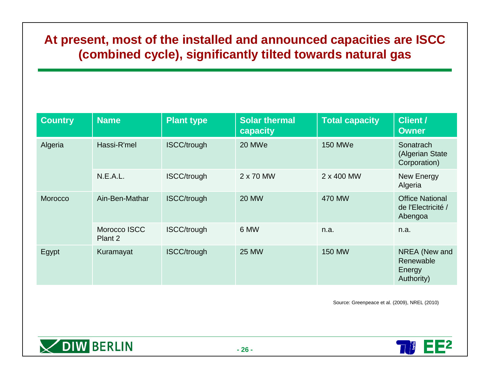### **At present, most of the installed and announced capacities are ISCC (combined cycle), significantly tilted towards natural gas**

| <b>Country</b> | <b>Name</b>             | <b>Plant type</b>  | <b>Solar thermal</b><br>capacity | <b>Total capacity</b> | <b>Client /</b><br><b>Owner</b>                         |
|----------------|-------------------------|--------------------|----------------------------------|-----------------------|---------------------------------------------------------|
| Algeria        | Hassi-R'mel             | <b>ISCC/trough</b> | 20 MWe                           | <b>150 MWe</b>        | Sonatrach<br>(Algerian State<br>Corporation)            |
|                | N.E.A.L.                | <b>ISCC/trough</b> | 2 x 70 MW                        | 2 x 400 MW            | <b>New Energy</b><br>Algeria                            |
| Morocco        | Ain-Ben-Mathar          | <b>ISCC/trough</b> | <b>20 MW</b>                     | <b>470 MW</b>         | <b>Office National</b><br>de l'Electricité /<br>Abengoa |
|                | Morocco ISCC<br>Plant 2 | <b>ISCC/trough</b> | 6 MW                             | n.a.                  | n.a.                                                    |
| Egypt          | Kuramayat               | <b>ISCC/trough</b> | <b>25 MW</b>                     | <b>150 MW</b>         | NREA (New and<br>Renewable<br>Energy<br>Authority)      |

Source: Greenpeace et al. (2009), NREL (2010)



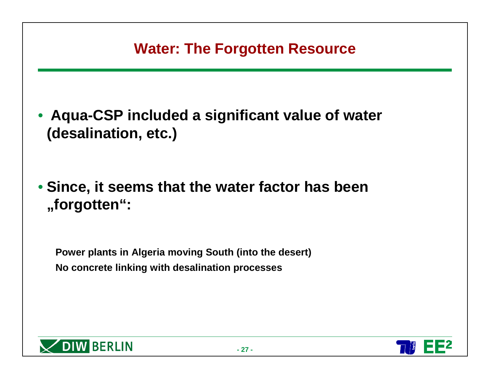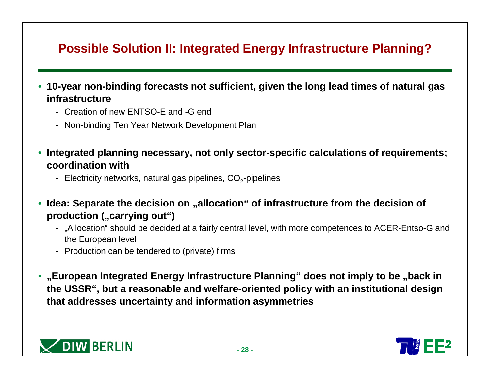### **Possible Solution II: Integrated Energy Infrastructure Planning?**

- **10-year non-binding forecasts not sufficient, given the long lead times of natural gas infrastructure**
	- Creation of new ENTSO-E and -G end
	- Non-binding Ten Year Network Development Plan
- **Integrated planning necessary, not only sector-specific calculations of requirements; coordination with**
	- Electricity networks, natural gas pipelines, CO<sub>2</sub>-pipelines
- **Idea: Separate the decision on "allocation" of infrastructure from the decision of production (**"carrying out")
	- "Allocation" should be decided at a fairly central level, with more competences to ACER-Entso-G and the European level
	- Production can be tendered to (private) firms
- **"European Integrated Energy Infrastructure Planning" does not imply to be "back in the USSR", but a reasonable and welfare-oriented policy with an institutional design that addresses uncertainty and information asymmetries**



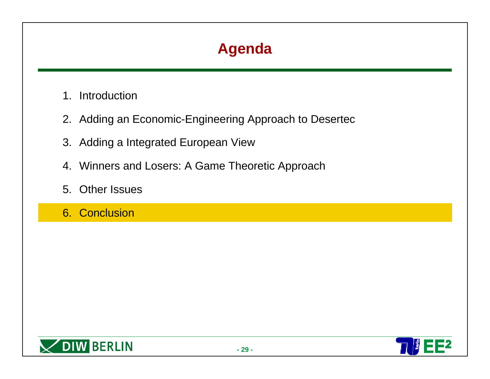- 1. Introduction
- 2. Adding an Economic-Engineering Approach to Desertec
- 3. Adding a Integrated European View
- 4. Winners and Losers: A Game Theoretic Approach
- 5. Other Issues
- 6. Conclusion



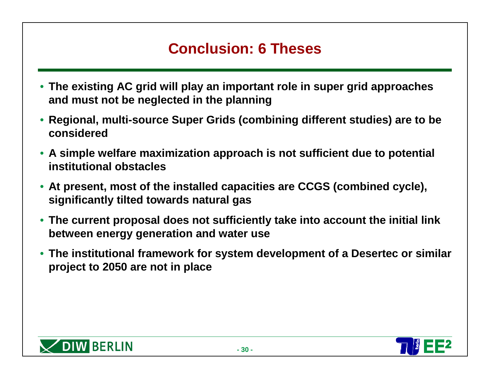### **Conclusion: 6 Theses**

- **The existing AC grid will play an important role in super grid approaches and must not be neglected in the planning**
- **Regional, multi-source Super Grids (combining different studies) are to be considered**
- **A simple welfare maximization approach is not sufficient due to potential institutional obstacles**
- **At present, most of the installed capacities are CCGS (combined cycle), significantly tilted towards natural gas**
- **The current proposal does not sufficiently take into account the initial link between energy generation and water use**
- **The institutional framework for system development of a Desertec or similar project to 2050 are not in place**



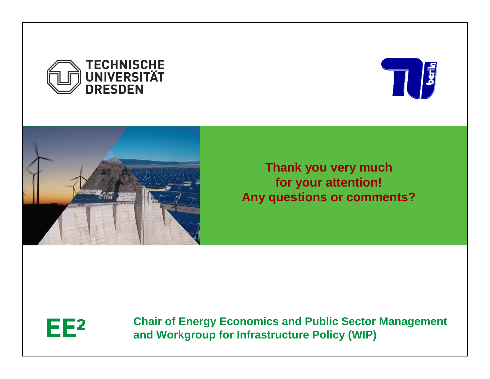





**Thank you very muchfor your attention! Any questions or comments?**



**Chair of Energy Economics and Public Sector Managementand Workgroup for Infrastructure Policy (WIP)**